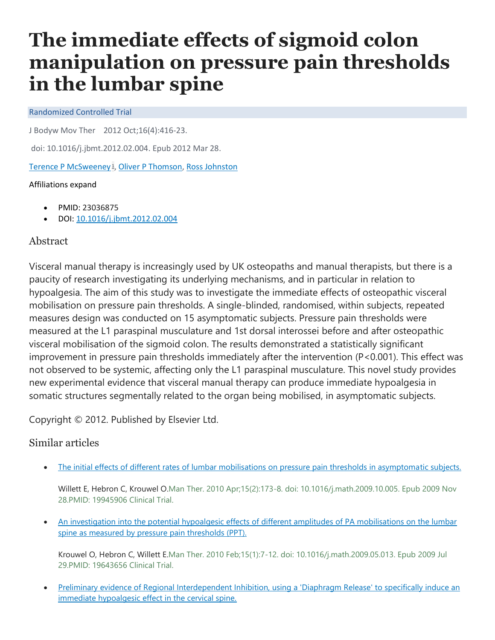# **The immediate effects of sigmoid colon manipulation on pressure pain thresholds in the lumbar spine**

#### Randomized Controlled Trial

J Bodyw Mov Ther 2012 Oct;16(4):416-23.

doi: 10.1016/j.jbmt.2012.02.004. Epub 2012 Mar 28.

[Terence P McSweeney](https://pubmed.ncbi.nlm.nih.gov/?term=McSweeney+TP&cauthor_id=23036875) <sup>1</sup> [,](https://pubmed.ncbi.nlm.nih.gov/23036875/#affiliation-1) [Oliver P Thomson,](https://pubmed.ncbi.nlm.nih.gov/?term=Thomson+OP&cauthor_id=23036875) [Ross Johnston](https://pubmed.ncbi.nlm.nih.gov/?term=Johnston+R&cauthor_id=23036875)

### Affiliations expand

- PMID: 23036875
- DOI: [10.1016/j.jbmt.2012.02.004](https://doi.org/10.1016/j.jbmt.2012.02.004)

## Abstract

Visceral manual therapy is increasingly used by UK osteopaths and manual therapists, but there is a paucity of research investigating its underlying mechanisms, and in particular in relation to hypoalgesia. The aim of this study was to investigate the immediate effects of osteopathic visceral mobilisation on pressure pain thresholds. A single-blinded, randomised, within subjects, repeated measures design was conducted on 15 asymptomatic subjects. Pressure pain thresholds were measured at the L1 paraspinal musculature and 1st dorsal interossei before and after osteopathic visceral mobilisation of the sigmoid colon. The results demonstrated a statistically significant improvement in pressure pain thresholds immediately after the intervention (P<0.001). This effect was not observed to be systemic, affecting only the L1 paraspinal musculature. This novel study provides new experimental evidence that visceral manual therapy can produce immediate hypoalgesia in somatic structures segmentally related to the organ being mobilised, in asymptomatic subjects.

Copyright © 2012. Published by Elsevier Ltd.

# Similar articles

[The initial effects of different rates of lumbar mobilisations on pressure pain thresholds in asymptomatic subjects.](https://pubmed.ncbi.nlm.nih.gov/19945906/)

Willett E, Hebron C, Krouwel O.Man Ther. 2010 Apr;15(2):173-8. doi: 10.1016/j.math.2009.10.005. Epub 2009 Nov 28.PMID: 19945906 Clinical Trial.

• [An investigation into the potential hypoalgesic effects of different amplitudes of PA mobilisations on the lumbar](https://pubmed.ncbi.nlm.nih.gov/19643656/)  [spine as measured by pressure pain thresholds \(PPT\).](https://pubmed.ncbi.nlm.nih.gov/19643656/)

Krouwel O, Hebron C, Willett E.Man Ther. 2010 Feb;15(1):7-12. doi: 10.1016/j.math.2009.05.013. Epub 2009 Jul 29.PMID: 19643656 Clinical Trial.

• Preliminary evidence of Regional Interdependent Inhibition, using a 'Diaphragm Release' to specifically induce an [immediate hypoalgesic effect in the cervical spine.](https://pubmed.ncbi.nlm.nih.gov/28532881/)